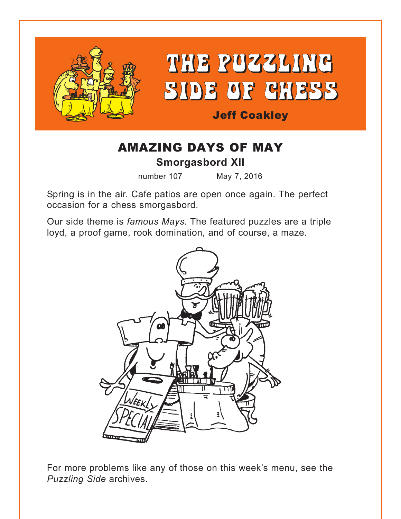

## AMAZING DAYS OF MAY **Smorgasbord XII**

number 107 May 7, 2016

Spring is in the air. Cafe patios are open once again. The perfect occasion for a chess smorgasbord.

Our side theme is *famous Mays*. The featured puzzles are a triple loyd, a proof game, rook domination, and of course, a maze.



For more problems like any of those on this week's menu, see the *Puzzling Side* archives.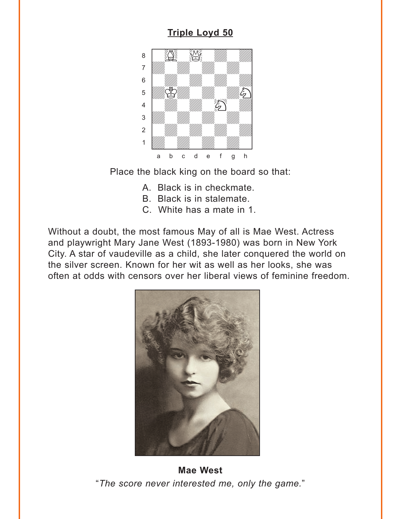#### **Triple Loyd 50**

<span id="page-1-0"></span>

Place the black king on the board so that:

- A. Black is in checkmate.
- B. Black is in stalemate.
- C. White has a mate in 1.

Without a doubt, the most famous May of all is Mae West. Actress and playwright Mary Jane West (1893-1980) was born in New York City. A star of vaudeville as a child, she later conquered the world on the silver screen. Known for her wit as well as her looks, she was often at odds with censors over her liberal views of feminine freedom.



**Mae West** "The score never interested me, only the game."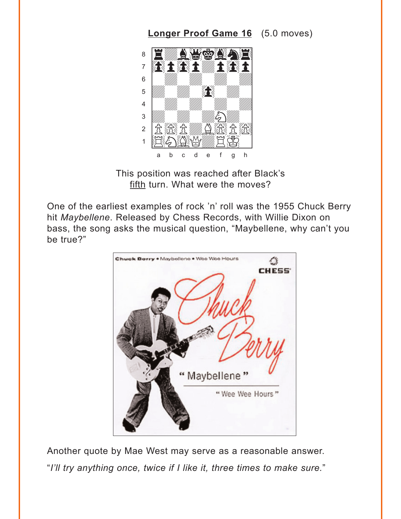#### <span id="page-2-0"></span>8 A Wool Y. 我主我主物主我主  $\overline{7}$  $6\phantom{a}$  $\mathcal{L}$ 5  $\overline{4}$  $\mathbf{3}$ fi Katilla Sifa fi Ka  $\overline{2}$  $\mathbf 1$  $\sf d$  $\mathsf f$ g h  $\mathsf{h}$  $\ddot{c}$  $\mathsf{e}% _{0}\left( \mathsf{e}\right)$ a

**Longer Proof Game 16** (5.0 moves)

This position was reached after Black's fifth turn. What were the moves?

One of the earliest examples of rock 'n' roll was the 1955 Chuck Berry hit Maybellene. Released by Chess Records, with Willie Dixon on bass, the song asks the musical question, "Maybellene, why can't you be true?"



Another quote by Mae West may serve as a reasonable answer. "I'll try anything once, twice if I like it, three times to make sure."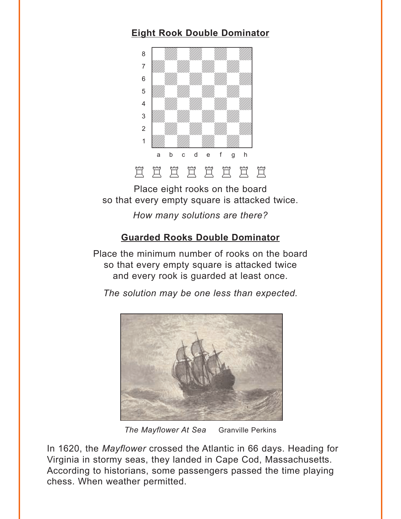### <span id="page-3-0"></span>**[Eight Rook Double Dominator](#page-6-0)**



Place eight rooks on the board so that every empty square is attacked twice.

*How many solutions are there?*

#### **[Guarded Rooks Double Dominator](#page-7-0)**

Place the minimum number of rooks on the board so that every empty square is attacked twice and every rook is guarded at least once.

*The solution may be one less than expected.*



*The Mayflower At Sea* Granville Perkins

In 1620, the *Mayflower* crossed the Atlantic in 66 days. Heading for Virginia in stormy seas, they landed in Cape Cod, Massachusetts. According to historians, some passengers passed the time playing chess. When weather permitted.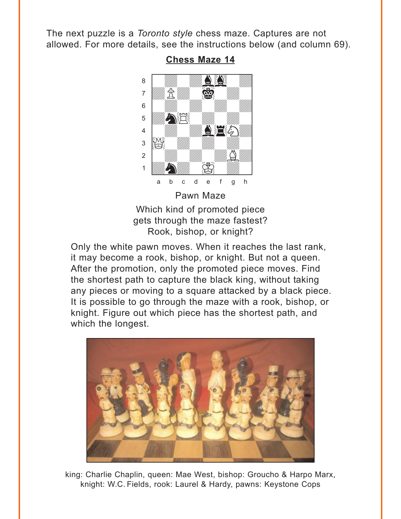<span id="page-4-0"></span>The next puzzle is a Toronto style chess maze. Captures are not allowed. For more details, see the instructions below (and column 69).



**Chess Maze 14** 

Which kind of promoted piece gets through the maze fastest? Rook, bishop, or knight?

Only the white pawn moves. When it reaches the last rank, it may become a rook, bishop, or knight. But not a queen. After the promotion, only the promoted piece moves. Find the shortest path to capture the black king, without taking any pieces or moving to a square attacked by a black piece. It is possible to go through the maze with a rook, bishop, or knight. Figure out which piece has the shortest path, and which the longest.



king: Charlie Chaplin, queen: Mae West, bishop: Groucho & Harpo Marx, knight: W.C. Fields, rook: Laurel & Hardy, pawns: Keystone Cops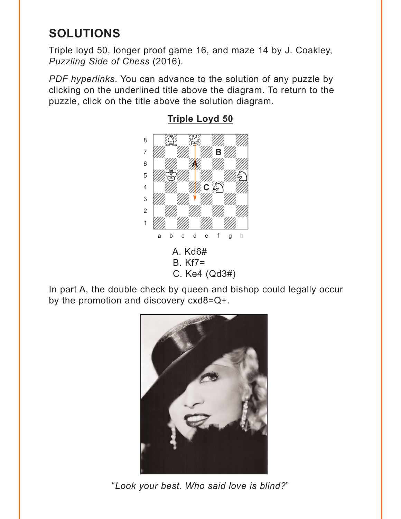# <span id="page-5-0"></span>**SOLUTIONS**

Triple loyd 50, longer proof game 16, and maze 14 by J. Coakley, *Puzzling Side of Chess* (2016).

*PDF hyperlinks*. You can advance to the solution of any puzzle by clicking on the underlined title above the diagram. To return to the puzzle, click on the title above the solution diagram.



**[Triple Loyd 50](#page-1-0)**

In part A, the double check by queen and bishop could legally occur by the promotion and discovery cxd8=Q+.



"*Look your best. Who said love is blind?*"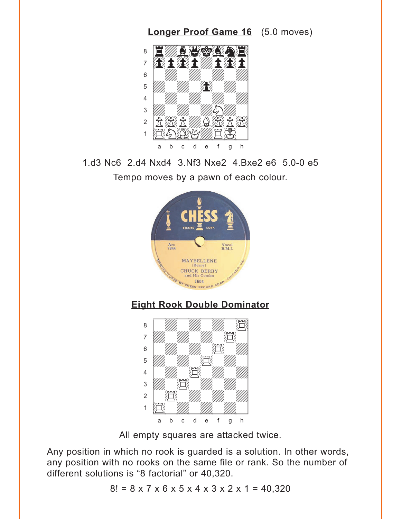<span id="page-6-0"></span>

1.d3 Nc6 2.d4 Nxd4 3.Nf3 Nxe2 4.Bxe2 e6 5.0-0 e5 Tempo moves by a pawn of each colour.







All empty squares are attacked twice.

Any position in which no rook is guarded is a solution. In other words, any position with no rooks on the same file or rank. So the number of different solutions is "8 factorial" or 40,320.

 $8! = 8 \times 7 \times 6 \times 5 \times 4 \times 3 \times 2 \times 1 = 40,320$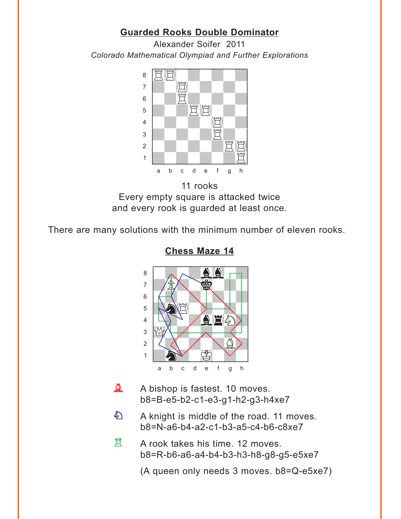#### **[Guarded Rooks Double Dominator](#page-3-0)**

<span id="page-7-0"></span>Alexander Soifer 2011 *Colorado Mathematical Olympiad and Further Explorations*



11 rooks Every empty square is attacked twice and every rook is guarded at least once.

There are many solutions with the minimum number of eleven rooks.



**[Chess Maze 14](#page-4-0)**

- A bishop is fastest. 10 moves. b8=B-e5-b2-c1-e3-g1-h2-g3-h4xe7  $\Delta$
- A knight is middle of the road. 11 moves. b8=N-a6-b4-a2-c1-b3-a5-c4-b6-c8xe7 白
- A rook takes his time. 12 moves. b8=R-b6-a6-a4-b4-b3-h3-h8-g8-g5-e5xe7 買

(A queen only needs 3 moves. b8=Q-e5xe7)